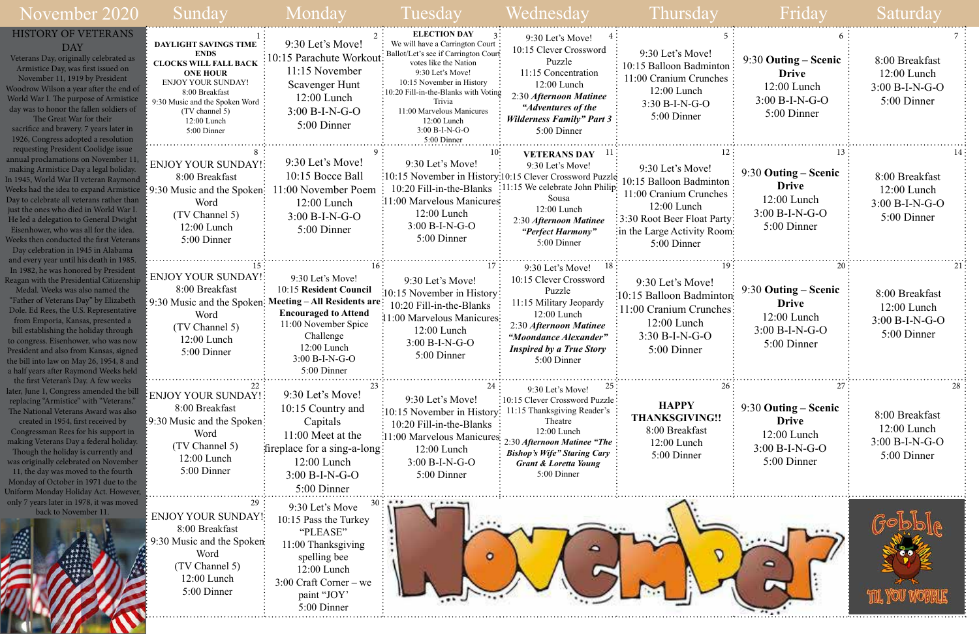| November 2020                                                                                                                                                                                                                                                                                                                                                                                                                                                                                          | Sunday                                                                                                                                                                                                                   | Monday                                                                                                                                                                                               | Tuesday                                                                                                                                                                                                                                                                                                   | Wednesday                                                                                                                                                                                                                              | Thursday                                                                                                                                                           |                                                                                            | Saturday                                                           |
|--------------------------------------------------------------------------------------------------------------------------------------------------------------------------------------------------------------------------------------------------------------------------------------------------------------------------------------------------------------------------------------------------------------------------------------------------------------------------------------------------------|--------------------------------------------------------------------------------------------------------------------------------------------------------------------------------------------------------------------------|------------------------------------------------------------------------------------------------------------------------------------------------------------------------------------------------------|-----------------------------------------------------------------------------------------------------------------------------------------------------------------------------------------------------------------------------------------------------------------------------------------------------------|----------------------------------------------------------------------------------------------------------------------------------------------------------------------------------------------------------------------------------------|--------------------------------------------------------------------------------------------------------------------------------------------------------------------|--------------------------------------------------------------------------------------------|--------------------------------------------------------------------|
| <b>HISTORY OF VETERANS</b><br><b>DAY</b><br>Veterans Day, originally celebrated as<br>Armistice Day, was first issued on<br>November 11, 1919 by President<br>Woodrow Wilson a year after the end of<br>World War I. The purpose of Armistice<br>day was to honor the fallen soldiers of<br>The Great War for their<br>sacrifice and bravery. 7 years later in<br>1926, Congress adopted a resolution                                                                                                  | <b>DAYLIGHT SAVINGS TIME</b><br><b>ENDS</b><br><b>CLOCKS WILL FALL BACK</b><br><b>ONE HOUR</b><br>ENJOY YOUR SUNDAY!<br>8:00 Breakfast<br>9:30 Music and the Spoken Word<br>(TV channel 5)<br>12:00 Lunch<br>5:00 Dinner | 9:30 Let's Move!<br>10:15 Parachute Workout<br>11:15 November<br>Scavenger Hunt<br>$12:00$ Lunch<br>$3:00 B-I-N-G-O$<br>5:00 Dinner                                                                  | <b>ELECTION DAY</b><br>We will have a Carrington Court<br>Ballot/Let's see if Carrington Court<br>votes like the Nation<br>9:30 Let's Move!<br>10:15 November in History<br>10:20 Fill-in-the-Blanks with Voting<br>Trivia<br>11:00 Marvelous Manicures<br>12:00 Lunch<br>$3:00 B-I-N-G-O$<br>5:00 Dinner | 9:30 Let's Move!<br>10:15 Clever Crossword<br>Puzzle<br>11:15 Concentration<br>12:00 Lunch<br>2:30 Afternoon Matinee<br>"Adventures of the<br><b>Wilderness Family" Part 3</b><br>5:00 Dinner                                          | 9:30 Let's Move!<br>10:15 Balloon Badminton<br>11:00 Cranium Crunches<br>12:00 Lunch<br>$3:30 B-I-N-G-O$<br>5:00 Dinner                                            | $9:30$ Outing – Scenic<br><b>Drive</b><br>$12:00$ Lunch<br>$3:00 B-I-N-G-O$<br>5:00 Dinner | 8:00 Breakfast<br>$12:00$ Lunch<br>$3:00 B-I-N-G-O$<br>5:00 Dinner |
| requesting President Coolidge issue<br>annual proclamations on November 11<br>making Armistice Day a legal holiday.<br>In 1945, World War II veteran Raymond<br>Weeks had the idea to expand Armistice {9:30 Music and the Spoken}<br>Day to celebrate all veterans rather than<br>just the ones who died in World War I.<br>He led a delegation to General Dwight<br>Eisenhower, who was all for the idea.<br>Weeks then conducted the first Veterans<br>Day celebration in 1945 in Alabama           | <b>ENJOY YOUR SUNDAY!</b><br>8:00 Breakfast<br>Word<br>(TV Channel 5)<br>12:00 Lunch<br>5:00 Dinner                                                                                                                      | 9:30 Let's Move!<br>10:15 Bocce Ball<br>11:00 November Poem<br>$12:00$ Lunch<br>$3:00 B-I-N-G-O$<br>5:00 Dinner                                                                                      | 9:30 Let's Move!<br>:10:15 November in History:10:15 Clever Crossword Puzzle<br>10:20 Fill-in-the-Blanks<br>:11:00 Marvelous Manicures<br>12:00 Lunch<br>$3:00 B-I-N-G-O$<br>5:00 Dinner                                                                                                                  | <b>VETERANS DAY</b><br>9:30 Let's Move!<br>11:15 We celebrate John Philip:<br>Sousa<br>12:00 Lunch<br>2:30 Afternoon Matinee<br>"Perfect Harmony"<br>5:00 Dinner                                                                       | 9:30 Let's Move!<br>10:15 Balloon Badminton:<br>11:00 Cranium Crunches<br>12:00 Lunch<br>3:30 Root Beer Float Party:<br>in the Large Activity Room:<br>5:00 Dinner | $9:30$ Outing – Scenic<br><b>Drive</b><br>12:00 Lunch<br>$3:00 B-I-N-G-O$<br>5:00 Dinner   | 8:00 Breakfast<br>$12:00$ Lunch<br>$3:00 B-I-N-G-O$<br>5:00 Dinner |
| and every year until his death in 1985.<br>In 1982, he was honored by President<br>Reagan with the Presidential Citizenship<br>Medal. Weeks was also named the<br>"Father of Veterans Day" by Elizabeth<br>Dole. Ed Rees, the U.S. Representative<br>from Emporia, Kansas, presented a<br>bill establishing the holiday through<br>to congress. Eisenhower, who was now<br>President and also from Kansas, signed<br>the bill into law on May 26, 1954, 8 and<br>a half years after Raymond Weeks held | ENJOY YOUR SUNDAY!<br>8:00 Breakfast<br>9:30 Music and the Spoken:<br>Word<br>(TV Channel 5)<br>$12:00$ Lunch<br>5:00 Dinner                                                                                             | 9:30 Let's Move!<br>10:15 Resident Council<br><b>Meeting – All Residents are</b><br><b>Encouraged to Attend</b><br>11:00 November Spice<br>Challenge<br>12:00 Lunch<br>3:00 B-I-N-G-O<br>5:00 Dinner | 9:30 Let's Move!<br>:10:15 November in History:<br>10:20 Fill-in-the-Blanks<br>11:00 Marvelous Manicures<br>$12:00$ Lunch<br>$3:00 B-I-N-G-O$<br>5:00 Dinner                                                                                                                                              | 9:30 Let's Move!<br>10:15 Clever Crossword<br>Puzzle<br>11:15 Military Jeopardy<br>12:00 Lunch<br>2:30 Afternoon Matinee<br>"Moondance Alexander"<br><b>Inspired by a True Story</b><br>$5:00$ Dinner                                  | 9:30 Let's Move!<br>:10:15 Balloon Badminton<br>:11:00 Cranium Crunches:<br>$12:00$ Lunch<br>$3:30 B-I-N-G-O$<br>5:00 Dinner                                       | 9:30 Outing – Scenic<br><b>Drive</b><br>$12:00$ Lunch<br>$3:00 B-I-N-G-O$<br>5:00 Dinner   | 8:00 Breakfast<br>$12:00$ Lunch<br>3:00 B-I-N-G-O<br>5:00 Dinner   |
| the first Veteran's Day. A few weeks<br>later, June 1, Congress amended the bill<br>replacing "Armistice" with "Veterans."<br>The National Veterans Award was also<br>created in 1954, first received by<br>Congressman Rees for his support in<br>making Veterans Day a federal holiday.<br>Though the holiday is currently and<br>was originally celebrated on November<br>11, the day was moved to the fourth<br>Monday of October in 1971 due to the<br>Uniform Monday Holiday Act. However,       | <b>ENJOY YOUR SUNDAY!:</b><br>8:00 Breakfast<br>19:30 Music and the Spoken:<br>Word<br>(TV Channel 5)<br>$12:00$ Lunch<br>5:00 Dinner                                                                                    | $9:30$ Let's Move!<br>10:15 Country and<br>Capitals<br>$11:00$ Meet at the<br>fireplace for a sing-a-long:<br>$12:00$ Lunch<br>$3:00 B-I-N-G-O$<br>5:00 Dinner                                       | 9:30 Let's Move!<br>:10:15 November in History:<br>10:20 Fill-in-the-Blanks<br>11:00 Marvelous Manicures<br>12:00 Lunch<br>$3:00 B-I-N-G-O$<br>5:00 Dinner                                                                                                                                                | 9:30 Let's Move!<br>:10:15 Clever Crossword Puzzle:<br>11:15 Thanksgiving Reader's<br>Theatre<br>12:00 Lunch<br>2:30 Afternoon Matinee "The :<br><b>Bishop's Wife" Staring Cary</b><br><b>Grant &amp; Loretta Young</b><br>5:00 Dinner | <b>HAPPY</b><br><b>THANKSGIVING!!</b><br>8:00 Breakfast<br>$12:00$ Lunch<br>5:00 Dinner                                                                            | $9:30$ Outing – Scenic<br><b>Drive</b><br>$12:00$ Lunch<br>$3:00 B-I-N-G-O$<br>5:00 Dinner | 8:00 Breakfast<br>$12:00$ Lunch<br>$3:00 B-I-N-G-O$<br>5:00 Dinner |
| only 7 years later in 1978, it was moved<br>back to November 11.                                                                                                                                                                                                                                                                                                                                                                                                                                       | 29<br><b>ENJOY YOUR SUNDAY!:</b><br>8:00 Breakfast<br>9:30 Music and the Spoken<br>Word<br>(TV Channel 5)<br>12:00 Lunch<br>5:00 Dinner                                                                                  | 9:30 Let's Move<br>10:15 Pass the Turkey<br>"PLEASE"<br>11:00 Thanksgiving<br>spelling bee<br>$12:00$ Lunch<br>$3:00$ Craft Corner – we<br>paint "JOY"<br>5:00 Dinner                                | $\bullet$                                                                                                                                                                                                                                                                                                 |                                                                                                                                                                                                                                        |                                                                                                                                                                    |                                                                                            |                                                                    |